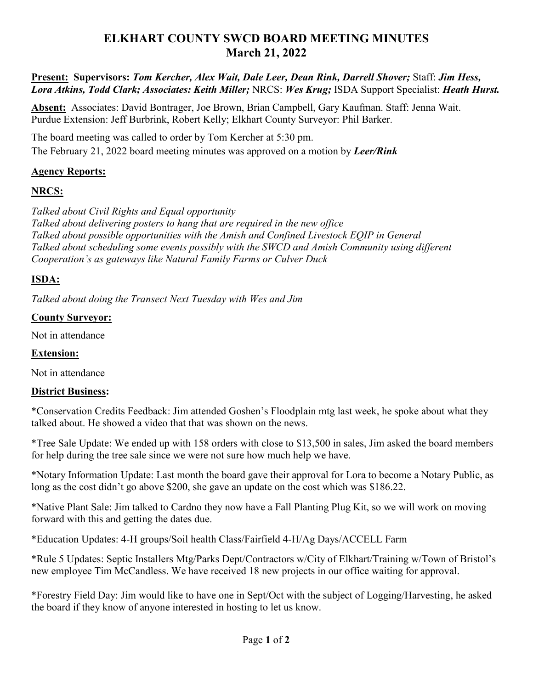# **ELKHART COUNTY SWCD BOARD MEETING MINUTES March 21, 2022**

**Present: Supervisors:** *Tom Kercher, Alex Wait, Dale Leer, Dean Rink, Darrell Shover;* Staff: *Jim Hess, Lora Atkins, Todd Clark; Associates: Keith Miller;* NRCS: *Wes Krug;* ISDA Support Specialist: *Heath Hurst.*

**Absent:** Associates: David Bontrager, Joe Brown, Brian Campbell, Gary Kaufman. Staff: Jenna Wait. Purdue Extension: Jeff Burbrink, Robert Kelly; Elkhart County Surveyor: Phil Barker.

The board meeting was called to order by Tom Kercher at 5:30 pm. The February 21, 2022 board meeting minutes was approved on a motion by *Leer/Rink*

### **Agency Reports:**

### **NRCS:**

*Talked about Civil Rights and Equal opportunity Talked about delivering posters to hang that are required in the new office Talked about possible opportunities with the Amish and Confined Livestock EQIP in General Talked about scheduling some events possibly with the SWCD and Amish Community using different Cooperation's as gateways like Natural Family Farms or Culver Duck*

## **ISDA:**

*Talked about doing the Transect Next Tuesday with Wes and Jim*

### **County Surveyor:**

Not in attendance

### **Extension:**

Not in attendance

## **District Business:**

\*Conservation Credits Feedback: Jim attended Goshen's Floodplain mtg last week, he spoke about what they talked about. He showed a video that that was shown on the news.

\*Tree Sale Update: We ended up with 158 orders with close to \$13,500 in sales, Jim asked the board members for help during the tree sale since we were not sure how much help we have.

\*Notary Information Update: Last month the board gave their approval for Lora to become a Notary Public, as long as the cost didn't go above \$200, she gave an update on the cost which was \$186.22.

\*Native Plant Sale: Jim talked to Cardno they now have a Fall Planting Plug Kit, so we will work on moving forward with this and getting the dates due.

\*Education Updates: 4-H groups/Soil health Class/Fairfield 4-H/Ag Days/ACCELL Farm

\*Rule 5 Updates: Septic Installers Mtg/Parks Dept/Contractors w/City of Elkhart/Training w/Town of Bristol's new employee Tim McCandless. We have received 18 new projects in our office waiting for approval.

\*Forestry Field Day: Jim would like to have one in Sept/Oct with the subject of Logging/Harvesting, he asked the board if they know of anyone interested in hosting to let us know.